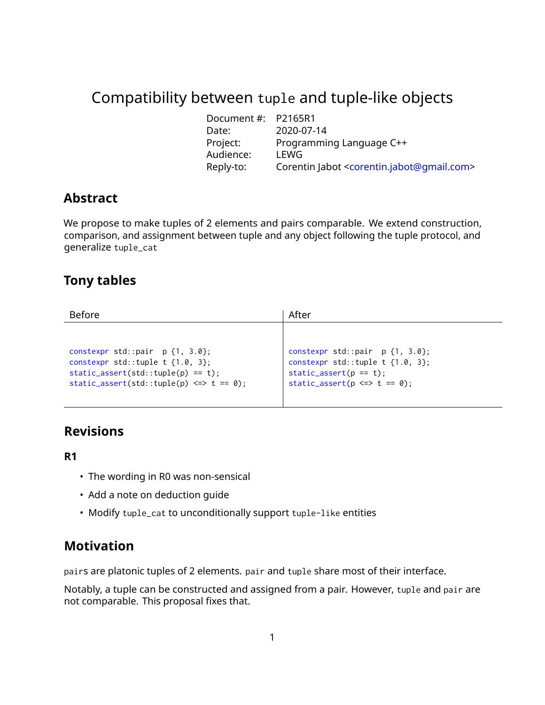# Compatibility between tuple and tuple-like objects

| Document #: | P2165R1                                                              |
|-------------|----------------------------------------------------------------------|
| Date:       | 2020-07-14                                                           |
| Project:    | Programming Language C++                                             |
| Audience:   | LEWG                                                                 |
| Reply-to:   | Corentin Jabot <corentin.jabot@qmail.com></corentin.jabot@qmail.com> |

## **Abstract**

We propose to make tuples of 2 elements and pairs comparable. We extend construction, comparison, and assignment between tuple and any object following the tuple protocol, and generalize tuple\_cat

## **Tony tables**

| <b>Before</b>                                                                                                                                                     | After                                                                                                                                         |
|-------------------------------------------------------------------------------------------------------------------------------------------------------------------|-----------------------------------------------------------------------------------------------------------------------------------------------|
|                                                                                                                                                                   |                                                                                                                                               |
| constexpr std::pair $p\{1, 3.0\};$<br>constexpr std::tuple t $\{1.0, 3\};$<br>$static\_assert(std::tuple(p) == t);$<br>static_assert(std::tuple(p) <=> $t == 0$ ; | constexpr std::pair $p\{1, 3.0\};$<br>constexpr std::tuple t $\{1.0, 3\}$ ;<br>$static\_assert(p == t);$<br>static_assert( $p \iff t == 0$ ); |

## **Revisions**

## **R1**

- The wording in R0 was non-sensical
- Add a note on deduction guide
- Modify tuple\_cat to unconditionally support tuple-like entities

## **Motivation**

pairs are platonic tuples of 2 elements. pair and tuple share most of their interface.

Notably, a tuple can be constructed and assigned from a pair. However, tuple and pair are not comparable. This proposal fixes that.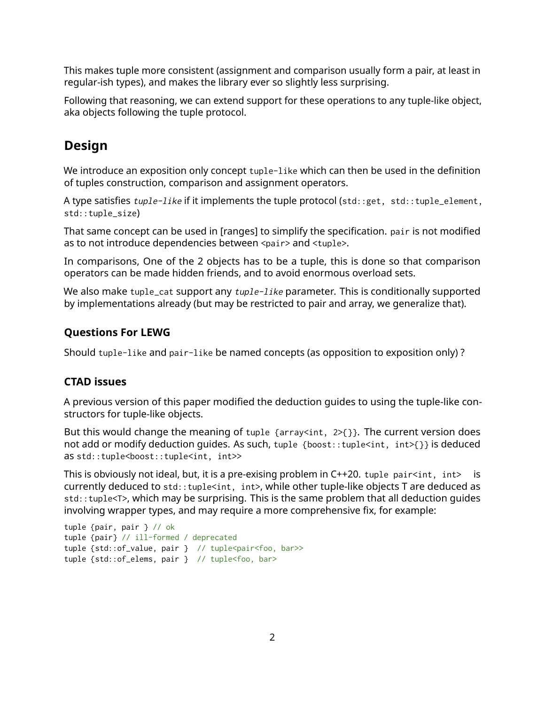This makes tuple more consistent (assignment and comparison usually form a pair, at least in regular-ish types), and makes the library ever so slightly less surprising.

Following that reasoning, we can extend support for these operations to any tuple-like object, aka objects following the tuple protocol.

# **Design**

We introduce an exposition only concept tuple-like which can then be used in the definition of tuples construction, comparison and assignment operators.

A type satisfies tuple-like if it implements the tuple protocol (std::get, std::tuple\_element, std::tuple\_size)

That same concept can be used in [ranges] to simplify the specification. pair is not modified as to not introduce dependencies between <pair> and <tuple>.

In comparisons, One of the 2 objects has to be a tuple, this is done so that comparison operators can be made hidden friends, and to avoid enormous overload sets.

We also make tuple\_cat support any tuple-like parameter. This is conditionally supported by implementations already (but may be restricted to pair and array, we generalize that).

## **Questions For LEWG**

Should tuple-like and pair-like be named concepts (as opposition to exposition only) ?

## **CTAD issues**

A previous version of this paper modified the deduction guides to using the tuple-like constructors for tuple-like objects.

But this would change the meaning of tuple  $\{array|$  array $\langle$ int, 2> $\{$ }. The current version does not add or modify deduction quides. As such, tuple {boost::tuple<int, int>{}} is deduced as std::tuple<boost::tuple<int, int>>

This is obviously not ideal, but, it is a pre-exising problem in  $C++20$ . tuple pair<int, int> is currently deduced to std:: tuple<int, int>, while other tuple-like objects T are deduced as std::tuple<T>, which may be surprising. This is the same problem that all deduction guides involving wrapper types, and may require a more comprehensive fix, for example:

```
tuple {pair, pair } // ok
tuple {pair} // ill-formed / deprecated
tuple {std::of_value, pair } // tuple<pair<foo, bar>>
tuple {std::of_elems, pair } // tuple<foo, bar>
```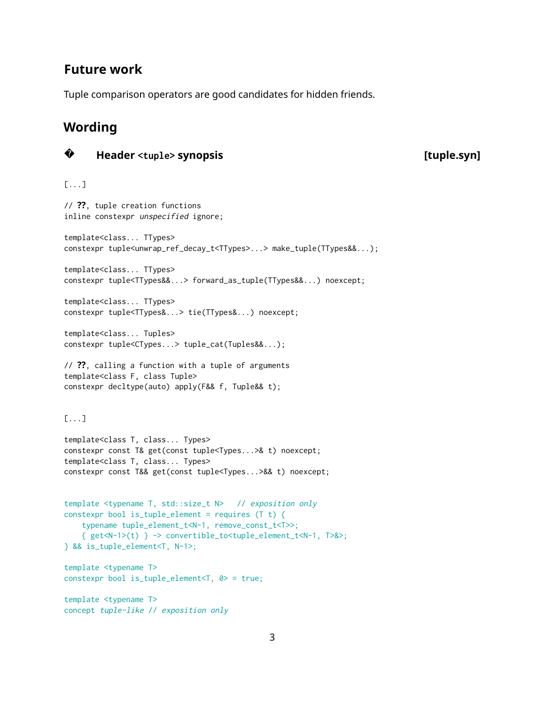## **Future work**

Tuple comparison operators are good candidates for hidden friends.

# **Wording**

**?**

## **Header <tuple> synopsis [tuple.syn]**

[...]

// **??**, tuple creation functions inline constexpr unspecified ignore; template<class... TTypes> constexpr tuple<unwrap\_ref\_decay\_t<TTypes>...> make\_tuple(TTypes&&...); template<class... TTypes> constexpr tuple<TTypes&&...> forward\_as\_tuple(TTypes&&...) noexcept; template<class... TTypes> constexpr tuple<TTypes&...> tie(TTypes&...) noexcept; template<class... Tuples> constexpr tuple<CTypes...> tuple\_cat(Tuples&&...); // **??**, calling a function with a tuple of arguments template<class F, class Tuple> constexpr decltype(auto) apply(F&& f, Tuple&& t); [...] template<class T, class... Types> constexpr const T& get(const tuple<Types...>& t) noexcept; template<class T, class... Types> constexpr const T&& get(const tuple<Types...>&& t) noexcept; template <typename T, std::size\_t N> // exposition only constexpr bool is\_tuple\_element = requires (T t) { typename tuple\_element\_t<N-1, remove\_const\_t<T>>; { get<N-1>(t) } -> convertible\_to<tuple\_element\_t<N-1, T>&>; } && is\_tuple\_element<T, N-1>; template <typename T> constexpr bool is\_tuple\_element<T, 0> = true; template <typename T> concept tuple-like // exposition only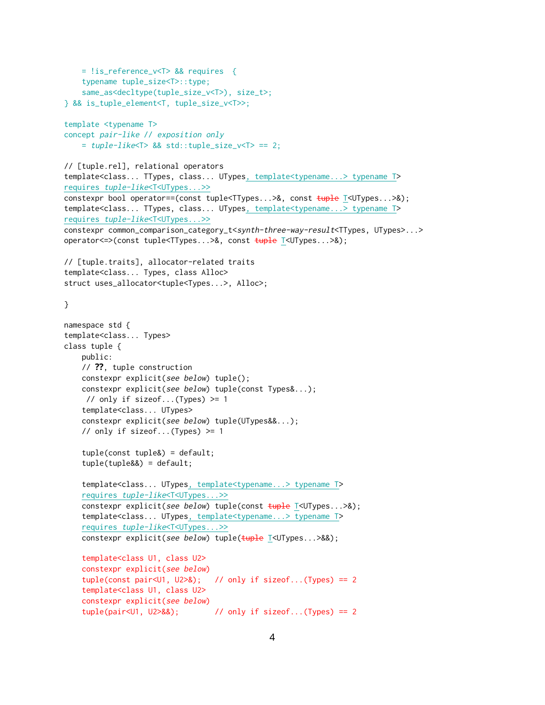```
= !is_reference_v<T> && requires {
    typename tuple_size<T>::type;
    same_as<decltype(tuple_size_v<T>), size_t>;
} && is_tuple_element<T, tuple_size_v<T>>;
template <typename T>
concept pair-like // exposition only
    = tuple-like < T > 88 std: tuple_size_v < T > = 2;// [tuple.rel], relational operators
template<class... TTypes, class... UTypes, template<typename...> typename T>
requires tuple-like<T<UTypes...>>
constexpr bool operator==(const tuple<TTypes...>&, const tuple T<UTypes...>&);
template<class... TTypes, class... UTypes, template<typename...> typename T>
requires tuple-like<T<UTypes...>>
constexpr common_comparison_category_t<synth-three-way-result<TTypes, UTypes>...>
operator<=>(const tuple<TTypes...>&, const tuple T<UTypes...>&);
// [tuple.traits], allocator-related traits
template<class... Types, class Alloc>
struct uses_allocator<tuple<Types...>, Alloc>;
}
namespace std {
template<class... Types>
class tuple {
    public:
    // ??, tuple construction
    constexpr explicit(see below) tuple();
    constexpr explicit(see below) tuple(const Types&...);
    // only if sizeof...(Types) > = 1template<class... UTypes>
    constexpr explicit(see below) tuple(UTypes&&...);
    // only if sizeof...(Types) >= 1
    tuple(const tuple&) = default;
    tuple(tuple&&) = default;
    template<class... UTypes, template<typename...> typename T>
    requires tuple-like<T<UTypes...>>
    constexpr explicit(see below) tuple(const tuple T<UTypes...>&);
    template<class... UTypes, template<typename...> typename T>
    requires tuple-like<T<UTypes...>>
    constexpr explicit(see below) tuple(tuple T<UTypes...>&&);
    template<class U1, class U2>
    constexpr explicit(see below)
    tuple(const pair<U1, U2>&); // only if sizeof...(Types) == 2
    template<class U1, class U2>
    constexpr explicit(see below)
    tuple(pair<01, U2>88); // only if sizeof...(Types) == 2
```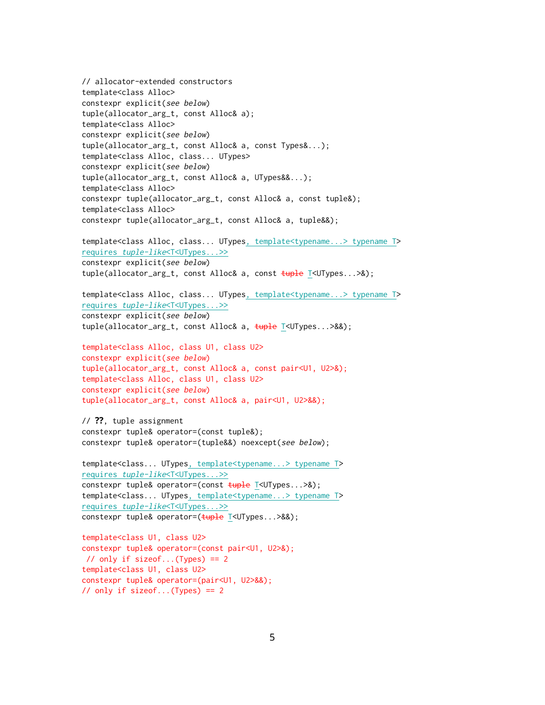```
// allocator-extended constructors
template<class Alloc>
constexpr explicit(see below)
tuple(allocator_arg_t, const Alloc& a);
template<class Alloc>
constexpr explicit(see below)
tuple(allocator_arg_t, const Alloc& a, const Types&...);
template<class Alloc, class... UTypes>
constexpr explicit(see below)
tuple(allocator_arg_t, const Alloc& a, UTypes&&...);
template<class Alloc>
constexpr tuple(allocator_arg_t, const Alloc& a, const tuple&);
template<class Alloc>
constexpr tuple(allocator_arg_t, const Alloc& a, tuple&&);
template<class Alloc, class... UTypes, template<typename...> typename T>
requires tuple-like<T<UTypes...>>
constexpr explicit(see below)
tuple(allocator_arg_t, const Alloc& a, const tuple T<UTypes...>&);
template<class Alloc, class... UTypes, template<typename...> typename T>
requires tuple-like<T<UTypes...>>
constexpr explicit(see below)
tuple(allocator_arg_t, const Alloc& a, tuple T<UTypes...>&&);
template<class Alloc, class U1, class U2>
constexpr explicit(see below)
tuple(allocator_arg_t, const Alloc& a, const pair<U1, U2>&);
template<class Alloc, class U1, class U2>
constexpr explicit(see below)
tuple(allocator_arg_t, const Alloc& a, pair<U1, U2>&&);
// ??, tuple assignment
constexpr tuple& operator=(const tuple&);
constexpr tuple& operator=(tuple&&) noexcept(see below);
template<class... UTypes, template<typename...> typename T>
requires tuple-like<T<UTypes...>>
constexpr tuple& operator=(const tuple T<UTypes...>&);
template<class... UTypes, template<typename...> typename T>
requires tuple-like<T<UTypes...>>
constexpr tuple& operator=(tuple T<UTypes...>&&);
template<class U1, class U2>
constexpr tuple& operator=(const pair<U1, U2>&);
// only if sizeof...(Types) == 2
template<class U1, class U2>
```

```
constexpr tuple& operator=(pair<U1, U2>&&);
// only if sizeof...(Types) == 2
```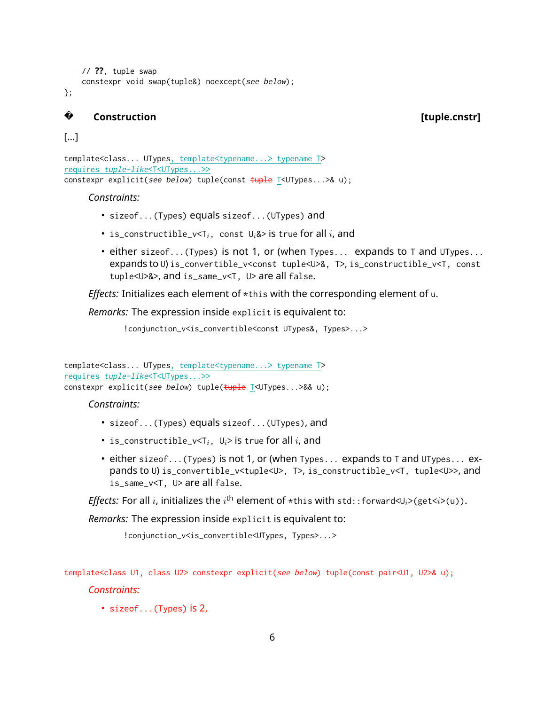```
// ??, tuple swap
constexpr void swap(tuple&) noexcept(see below);
```
};

#### **? Construction [tuple.cnstr]**

### [...]

```
template<class... UTypes, template<typename...> typename T>
requires tuple-like<T<UTypes...>>
constexpr explicit(see below) tuple(const \frac{1}{2} tuple \frac{1}{2} \frac{1}{2} \frac{1}{2} \frac{1}{2} \frac{1}{2} \frac{1}{2} \frac{1}{2} \frac{1}{2} \frac{1}{2} \frac{1}{2} \frac{1}{2} \frac{1}{2} \frac{1}{2} \frac{1}{2} \frac{1}{2} \frac{1}{2} \frac{
```
#### *Constraints:*

- sizeof...(Types) equals sizeof...(UTypes) and
- is\_constructible\_v<T*i*, const U*i*&> is true for all *i*, and
- either sizeof...(Types) is not 1, or (when Types... expands to T and UTypes... expands to U) is\_convertible\_v<const tuple<U>&, T>, is\_constructible\_v<T, const tuple<U>&>, and is\_same\_v<T, U> are all false.

*Effects:* Initializes each element of \*this with the corresponding element of u.

*Remarks:* The expression inside explicit is equivalent to:

!conjunction\_v<is\_convertible<const UTypes&, Types>...>

template<class... UTypes, template<typename...> typename T> requires tuple-like<T<UTypes...>> constexpr explicit(see below) tuple(tuple T<UTypes...>&& u);

### *Constraints:*

- sizeof...(Types) equals sizeof...(UTypes), and
- is\_constructible\_ $v < T_i$ ,  $U_i > i$  is true for all *i*, and
- either sizeof...(Types) is not 1, or (when Types... expands to T and UTypes... expands to U) is\_convertible\_v<tuple<U>, T>, is\_constructible\_v<T, tuple<U>>, and is\_same\_v<T, U> are all false.

*Effects:* For all *i*, initializes the  $i^{\text{th}}$  element of  $\star$ this with std::forward<U $_i$ >(get< $i$ >(u)).

*Remarks:* The expression inside explicit is equivalent to:

!conjunction\_v<is\_convertible<UTypes, Types>...>

template<class U1, class U2> constexpr explicit(see below) tuple(const pair<U1, U2>& u);

*Constraints:*

• sizeof...(Types) is 2,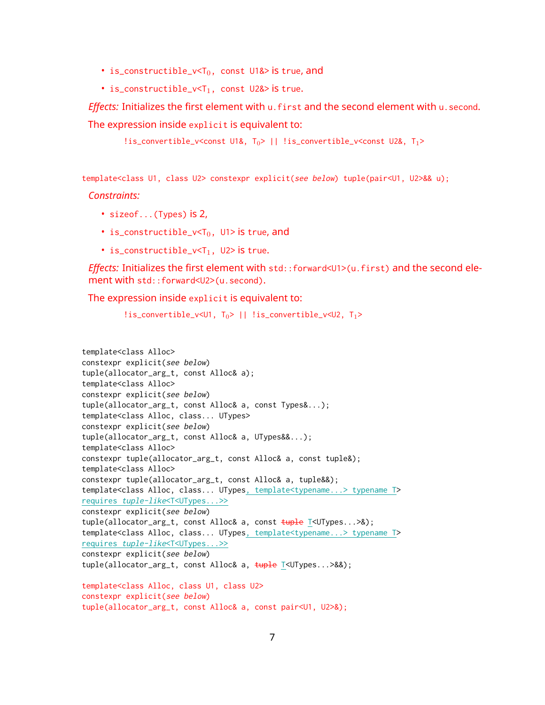- is\_constructible\_ $v < T_0$ , const U1&> is true, and
- is\_constructible\_ $v < T_1$ , const U2& $>$  is true.

*Effects:* Initializes the first element with u.first and the second element with u.second. The expression inside explicit is equivalent to:

```
!is_convertible_v<const U1&, T_0> || !is_convertible_v<const U2&, T_1>
```
template<class U1, class U2> constexpr explicit(see below) tuple(pair<U1, U2>&& u);

*Constraints:*

- sizeof...(Types) is 2,
- is\_constructible\_ $v < T_0$ , U1> is true, and
- is\_constructible\_ $v < T_1$ , U2> is true.

*Effects:* Initializes the first element with std::forward<U1>(u.first) and the second element with std::forward<U2>(u.second).

The expression inside explicit is equivalent to:

```
!is_convertible_v<U1, T_0> || !is_convertible_v<U2, T_1>
```

```
template<class Alloc>
constexpr explicit(see below)
tuple(allocator_arg_t, const Alloc& a);
template<class Alloc>
constexpr explicit(see below)
tuple(allocator_arg_t, const Alloc& a, const Types&...);
template<class Alloc, class... UTypes>
constexpr explicit(see below)
tuple(allocator_arg_t, const Alloc& a, UTypes&&...);
template<class Alloc>
constexpr tuple(allocator_arg_t, const Alloc& a, const tuple&);
template<class Alloc>
constexpr tuple(allocator_arg_t, const Alloc& a, tuple&&);
template<class Alloc, class... UTypes, template<typename...> typename T>
requires tuple-like<T<UTypes...>>
constexpr explicit(see below)
tuple(allocator_arg_t, const Alloc& a, const tuple T<UTypes...>&);
template<class Alloc, class... UTypes, template<typename...> typename T>
requires tuple-like<T<UTypes...>>
constexpr explicit(see below)
tuple(allocator_arg_t, const Alloc& a, tuple T<UTypes...>&&);
template<class Alloc, class U1, class U2>
constexpr explicit(see below)
tuple(allocator_arg_t, const Alloc& a, const pair<U1, U2>&);
```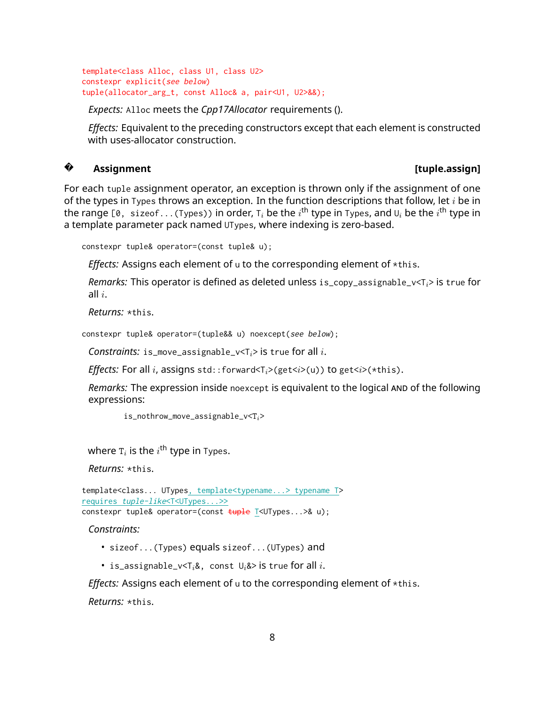```
template<class Alloc, class U1, class U2>
constexpr explicit(see below)
tuple(allocator_arg_t, const Alloc& a, pair<U1, U2>&&);
```
*Expects:* Alloc meets the *Cpp17Allocator* requirements ().

*Effects:* Equivalent to the preceding constructors except that each element is constructed with uses-allocator construction.

#### **? Assignment [tuple.assign]**

For each tuple assignment operator, an exception is thrown only if the assignment of one of the types in Types throws an exception. In the function descriptions that follow, let *i* be in the range [0,sizeof $\ldots$ (Types)) in order, T $_i$  be the  $i^{\sf th}$  type in Types, and U $_i$  be the  $i^{\sf th}$  type in a template parameter pack named UTypes, where indexing is zero-based.

```
constexpr tuple& operator=(const tuple& u);
```
*Effects:* Assigns each element of u to the corresponding element of \*this.

*Remarks:* This operator is defined as deleted unless is\_copy\_assignable\_v<T*i*> is true for all *i*.

*Returns:* \*this.

```
constexpr tuple& operator=(tuple&& u) noexcept(see below);
```
*Constraints:* is\_move\_assignable\_v<T*i*> is true for all *i*.

*Effects:* For all *i*, assigns std::forward<T*i*>(get<*i*>(u)) to get<*i*>(\*this).

*Remarks:* The expression inside noexcept is equivalent to the logical AND of the following expressions:

is\_nothrow\_move\_assignable\_v<T*i*>

where  $\boldsymbol{\mathrm{\tau}}_i$  is the  $i^{\text{th}}$  type in Types.

*Returns:* \*this.

```
template<class... UTypes, template<typename...> typename T>
requires tuple-like<T<UTypes...>>
constexpr tuple& operator=(const tuple T<UTypes... > & u);
```
*Constraints:*

- sizeof...(Types) equals sizeof...(UTypes) and
- is\_assignable\_v<T*i*&, const U*i*&> is true for all *i*.

*Effects:* Assigns each element of u to the corresponding element of \*this. *Returns:* \*this.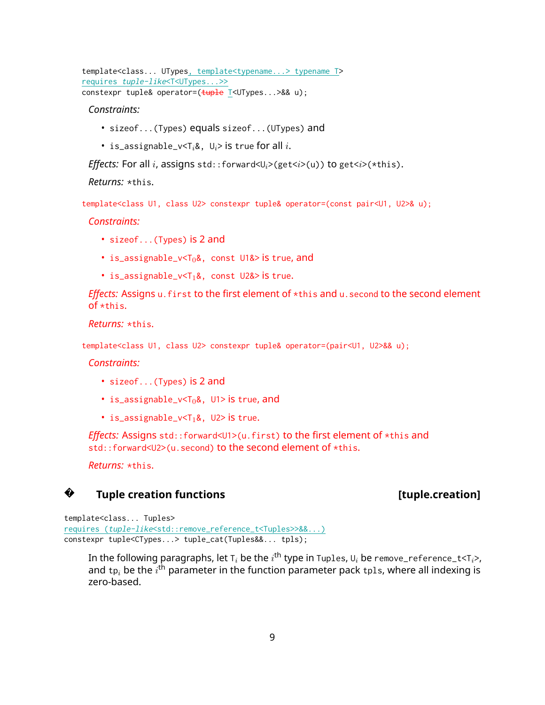template<class... UTypes, template<typename...> typename T> requires tuple-like<T<UTypes...>> constexpr tuple& operator=(tuple T<UTypes...>&& u);

*Constraints:*

- sizeof...(Types) equals sizeof...(UTypes) and
- is\_assignable\_v<T*i*&, U*i*> is true for all *i*.

*Effects:* For all *i*, assigns std::forward< $U_i$ >(get<*i*>( $i$ )) to get<*i*>( $\star$ this).

*Returns:* \*this.

template<class U1, class U2> constexpr tuple& operator=(const pair<U1, U2>& u);

*Constraints:*

- sizeof...(Types) is 2 and
- is\_assignable\_v< $T_0$ &, const U1& $>$  is true, and
- is\_assignable\_ $v < T_1\&0$ , const U2& $>$  is true.

*Effects: Assigns u.first to the first element of \*this and u.second to the second element* of \*this.

*Returns:* \*this.

template<class U1, class U2> constexpr tuple& operator=(pair<U1, U2>&& u);

*Constraints:*

- sizeof...(Types) is 2 and
- is\_assignable\_v< $T_0$ &, U1> is true, and
- is\_assignable\_ $v < T_1 &$ , U2> is true.

*Effects: Assigns std::forward<U1>(u.first) to the first element of \*this and* std::forward<U2>(u.second) to the second element of \*this.

*Returns:* \*this.

#### **?Tuple creation functions and intervals are at the creation of the creation**

template<class... Tuples> requires (tuple-like<std::remove\_reference\_t<Tuples>>&&...) constexpr tuple<CTypes...> tuple\_cat(Tuples&&... tpls);

In the following paragraphs, let T $_i$  be the  $i^{\sf th}$  type in Tuples, U $_i$  be remove\_reference\_t<T $_i$ >, and  $\bm{{\mathsf{tp}}}_i$  be the  $i^{\bm{\mathsf{th}}}$  parameter in the function parameter pack  $\bm{{\mathsf{tp}}}$ ls, where all indexing is zero-based.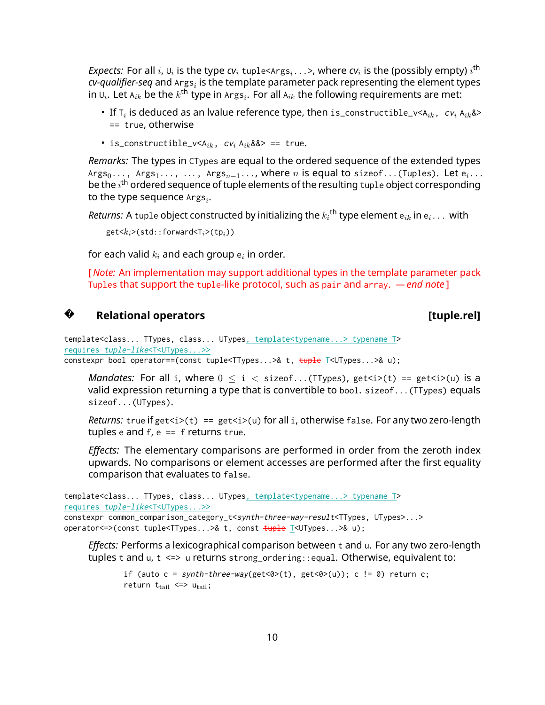*Expects:* For all  $i$ ,  $\mathsf{U}_i$  is the type  $c\mathsf{v}_i$  tuple<Args $_i\ldots$ >, where  $c\mathsf{v}_i$  is the (possibly empty)  $i^{\mathsf{th}}$  $\boldsymbol{c}$ v-q*ualifier-seq* and  $\text{A}$ rgs $_i$  is the template parameter pack representing the element types in  $\mathsf{U}_i.$  Let  $\mathsf{A}_{ik}$  be the  $k^\mathsf{th}$  type in  $\mathsf{A} \text{rgs}_i.$  For all  $\mathsf{A}_{ik}$  the following requirements are met:

- If T*<sup>i</sup>* is deduced as an lvalue reference type, then is\_constructible\_v<A*ik*, cv*<sup>i</sup>* A*ik*&> == true, otherwise
- is\_constructible\_ $v \le A_{ik}$ ,  $cv_i A_{ik}$ & $\ge$  == true.

*Remarks:* The types in CTypes are equal to the ordered sequence of the extended types Args<sub>0</sub>..., Args<sub>1</sub>..., ..., Args<sub>n−1</sub>..., where *n* is equal to sizeof...(Tuples). Let e<sub>i</sub>... be the  $i^{\text{th}}$  ordered sequence of tuple elements of the resulting tup1e object corresponding to the type sequence  $\texttt{Args}_i$ .

 $\bm{\mathit{Returns:}}~\bm{\mathsf{A}}~\text{tuple}~\bm{\mathsf{object}}~\text{constructed}~\bm{\mathsf{by}}~\text{initializing}~\text{the}~k_i^{\bm{\mathsf{th}}}~\text{type}~\text{element}~\bm{\mathsf{e}}_{ik}~\text{in}~\bm{\mathsf{e}}_i\ldots~\text{with}$ 

get<*ki*>(std::forward<T*i*>(tp*i*))

for each valid  $k_i$  and each group  $\mathsf{e}_i$  in order.

[ *Note:* An implementation may support additional types in the template parameter pack Tuples that support the tuple-like protocol, such as pair and array. *— end note* ]

## **?**

### **Relational operators and the contract of the contract of the contract of the contract of the contract of the contract of the contract of the contract of the contract of the contract of the contract of the contract of th**

template<class... TTypes, class... UTypes, template<typename...> typename T> requires tuple-like<T<UTypes...>>

```
constexpr bool operator==(const tuple<TTypes...>& t, tuple T<UTypes...>& u);
```
*Mandates:* For all i, where  $0 \le i \le$  sizeof...(TTypes), get $\langle i \rangle$  == get $\langle i \rangle$ (u) is a valid expression returning a type that is convertible to bool. sizeof...(TTypes) equals sizeof...(UTypes).

*Returns:* true if get $\langle t \rangle$  == get $\langle i \rangle$  for all i, otherwise false. For any two zero-length tuples e and  $f$ ,  $e == f$  returns true.

*Effects:* The elementary comparisons are performed in order from the zeroth index upwards. No comparisons or element accesses are performed after the first equality comparison that evaluates to false.

```
template<class... TTypes, class... UTypes, template<typename...> typename T>
requires tuple-like<T<UTypes...>>
constexpr common_comparison_category_t<synth-three-way-result<TTypes, UTypes>...>
operator <= > (const tuple<TTypes... > & t, const \frac{t}{t}uple T<UTypes... > & u);
```
*Effects:* Performs a lexicographical comparison between t and u. For any two zero-length tuples t and u, t <=> u returns strong\_ordering::equal. Otherwise, equivalent to:

```
if (auto c = synth-three-way(get<0>(t), get<0>(u)); c != 0) return c;return t_{tail} \leq > u_{tail};
```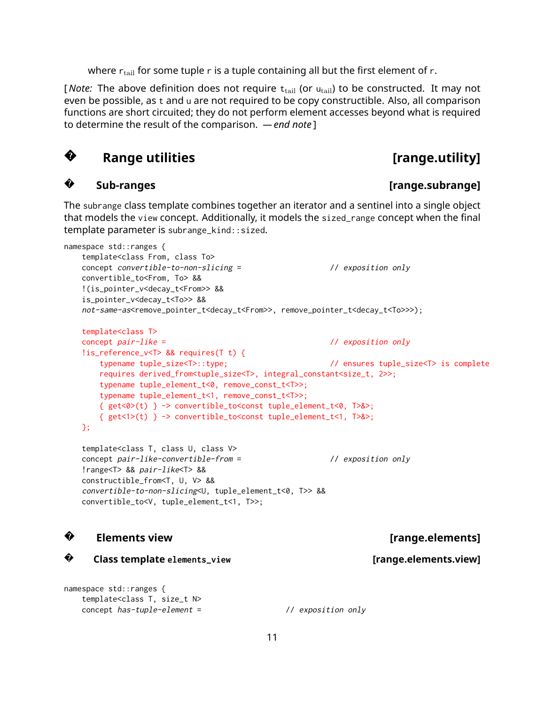where  $r_{tail}$  for some tuple r is a tuple containing all but the first element of r.

[*Note:* The above definition does not require  $t<sub>tail</sub>$  (or  $u<sub>tail</sub>$ ) to be constructed. It may not even be possible, as t and u are not required to be copy constructible. Also, all comparison functions are short circuited; they do not perform element accesses beyond what is required to determine the result of the comparison. *— end note* ]

#### **?Range utilities and all controls and respectively.** [range.utility]

#### **?Sub-ranges [range.subrange]**

The subrange class template combines together an iterator and a sentinel into a single object that models the view concept. Additionally, it models the sized\_range concept when the final template parameter is subrange\_kind::sized.

```
namespace std::ranges {
    template<class From, class To>
    concept convertible-to-non-slicing = // exposition only
    convertible_to<From, To> &&
    !(is_pointer_v<decay_t<From>> &&
    is_pointer_v<decay_t<To>> &&
    not-same-as<remove_pointer_t<decay_t<From>>, remove_pointer_t<decay_t<To>>>);
    template<class T>
    concept pair-like = // exposition only
    !is_reference_v<T> && requires(T t) {
        typename tuple_size<T>::type; // ensures tuple_size<T> is complete
        requires derived_from<tuple_size<T>, integral_constant<size_t, 2>>;
        typename tuple_element_t<0, remove_const_t<T>>;
        typename tuple_element_t<1, remove_const_t<T>>;
        { get<0>(t) } -> convertible_to<const tuple_element_t<0, T>&>;
       { get<1>(t) } -> convertible_to<const tuple_element_t<1, T>&>;
    };
    template<class T, class U, class V>
    concept pair-like-convertible-from = // exposition only
    !range<T> && pair-like<T> &&
    constructible_from<T, U, V> &&
    convertible-to-non-slicing<U, tuple_element_t<0, T>> &&
    convertible_to<V, tuple_element_t<1, T>>;
?Elements view Elements is a set of the set of the set of the set of the set of the set of the set of the set of the set of the set of the set of the set of the set of the set of the set of the set of the set of the set o
?
      Class template elements_view [range.elements.view]
namespace std::ranges {
    template<class T, size_t N>
    concept has-tuple-element = // exposition only
```